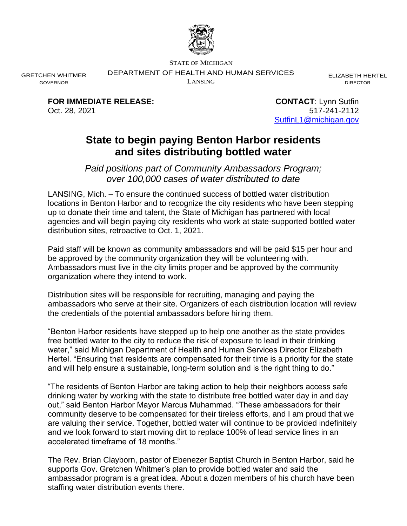

STATE OF MICHIGAN

DEPARTMENT OF HEALTH AND HUMAN SERVICES

LANSING

ELIZABETH HERTEL DIRECTOR

**FOR IMMEDIATE RELEASE: CONTACT**: Lynn Sutfin

GRETCHEN WHITMER GOVERNOR

> Oct. 28, 2021 **517-241-2112** [SutfinL1@michigan.gov](mailto:SutfinL1@michigan.gov)

# **State to begin paying Benton Harbor residents and sites distributing bottled water**

*Paid positions part of Community Ambassadors Program; over 100,000 cases of water distributed to date* 

LANSING, Mich. – To ensure the continued success of bottled water distribution locations in Benton Harbor and to recognize the city residents who have been stepping up to donate their time and talent, the State of Michigan has partnered with local agencies and will begin paying city residents who work at state-supported bottled water distribution sites, retroactive to Oct. 1, 2021.

Paid staff will be known as community ambassadors and will be paid \$15 per hour and be approved by the community organization they will be volunteering with. Ambassadors must live in the city limits proper and be approved by the community organization where they intend to work.

Distribution sites will be responsible for recruiting, managing and paying the ambassadors who serve at their site. Organizers of each distribution location will review the credentials of the potential ambassadors before hiring them.

"Benton Harbor residents have stepped up to help one another as the state provides free bottled water to the city to reduce the risk of exposure to lead in their drinking water," said Michigan Department of Health and Human Services Director Elizabeth Hertel. "Ensuring that residents are compensated for their time is a priority for the state and will help ensure a sustainable, long-term solution and is the right thing to do."

"The residents of Benton Harbor are taking action to help their neighbors access safe drinking water by working with the state to distribute free bottled water day in and day out," said Benton Harbor Mayor Marcus Muhammad. "These ambassadors for their community deserve to be compensated for their tireless efforts, and I am proud that we are valuing their service. Together, bottled water will continue to be provided indefinitely and we look forward to start moving dirt to replace 100% of lead service lines in an accelerated timeframe of 18 months."

The Rev. Brian Clayborn, pastor of Ebenezer Baptist Church in Benton Harbor, said he supports Gov. Gretchen Whitmer's plan to provide bottled water and said the ambassador program is a great idea. About a dozen members of his church have been staffing water distribution events there.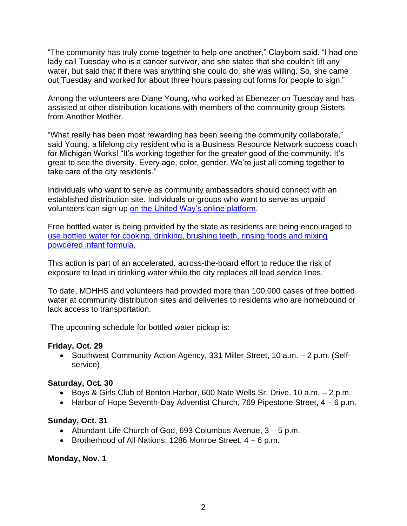"The community has truly come together to help one another," Clayborn said. "I had one lady call Tuesday who is a cancer survivor, and she stated that she couldn't lift any water, but said that if there was anything she could do, she was willing. So, she came out Tuesday and worked for about three hours passing out forms for people to sign."

Among the volunteers are Diane Young, who worked at Ebenezer on Tuesday and has assisted at other distribution locations with members of the community group Sisters from Another Mother.

"What really has been most rewarding has been seeing the community collaborate," said Young, a lifelong city resident who is a Business Resource Network success coach for Michigan Works! "It's working together for the greater good of the community. It's great to see the diversity. Every age, color, gender. We're just all coming together to take care of the city residents."

Individuals who want to serve as community ambassadors should connect with an established distribution site. Individuals or groups who want to serve as unpaid volunteers can sign up [on the United Way's online platform.](https://volunteer.uwsm.org/need/index?s=1&need_init_id=5023)

Free bottled water is being provided by the state as residents are being encouraged to [use bottled water for cooking, drinking, brushing teeth, rinsing foods and mixing](http://www.michigan.gov/documents/mdhhs/10-8-21_Water_Use_in_Benton_Harbor_Bottled_Water_737998_7.pdf)  [powdered infant formula.](http://www.michigan.gov/documents/mdhhs/10-8-21_Water_Use_in_Benton_Harbor_Bottled_Water_737998_7.pdf)

This action is part of an accelerated, across-the-board effort to reduce the risk of exposure to lead in drinking water while the city replaces all lead service lines.

To date, MDHHS and volunteers had provided more than 100,000 cases of free bottled water at community distribution sites and deliveries to residents who are homebound or lack access to transportation.

The upcoming schedule for bottled water pickup is:

## **Friday, Oct. 29**

• Southwest Community Action Agency, 331 Miller Street, 10 a.m. – 2 p.m. (Selfservice)

#### **Saturday, Oct. 30**

- Boys & Girls Club of Benton Harbor, 600 Nate Wells Sr. Drive, 10 a.m. 2 p.m.
- Harbor of Hope Seventh-Day Adventist Church, 769 Pipestone Street, 4 6 p.m.

## **Sunday, Oct. 31**

- Abundant Life Church of God, 693 Columbus Avenue, 3 5 p.m.
- Brotherhood of All Nations, 1286 Monroe Street,  $4 6$  p.m.

**Monday, Nov. 1**